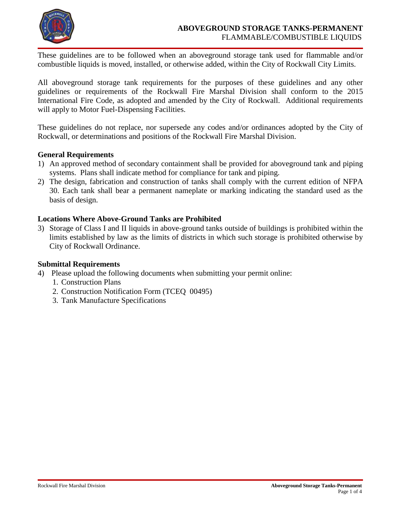

These guidelines are to be followed when an aboveground storage tank used for flammable and/or combustible liquids is moved, installed, or otherwise added, within the City of Rockwall City Limits.

All aboveground storage tank requirements for the purposes of these guidelines and any other guidelines or requirements of the Rockwall Fire Marshal Division shall conform to the 2015 International Fire Code, as adopted and amended by the City of Rockwall. Additional requirements will apply to Motor Fuel-Dispensing Facilities.

These guidelines do not replace, nor supersede any codes and/or ordinances adopted by the City of Rockwall, or determinations and positions of the Rockwall Fire Marshal Division.

# **General Requirements**

- 1) An approved method of secondary containment shall be provided for aboveground tank and piping systems. Plans shall indicate method for compliance for tank and piping.
- 2) The design, fabrication and construction of tanks shall comply with the current edition of NFPA 30. Each tank shall bear a permanent nameplate or marking indicating the standard used as the basis of design.

# **Locations Where Above-Ground Tanks are Prohibited**

3) Storage of Class I and II liquids in above-ground tanks outside of buildings is prohibited within the limits established by law as the limits of districts in which such storage is prohibited otherwise by City of Rockwall Ordinance.

# **Submittal Requirements**

- 4) Please upload the following documents when submitting your permit online:
	- 1. Construction Plans
	- 2. Construction Notification Form (TCEQ 00495)
	- 3. Tank Manufacture Specifications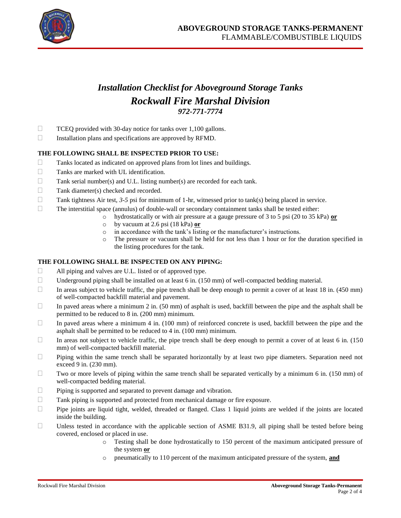

# *Installation Checklist for Aboveground Storage Tanks Rockwall Fire Marshal Division 972-771-7774*

- $\Box$  TCEQ provided with 30-day notice for tanks over 1,100 gallons.
- $\Box$  Installation plans and specifications are approved by RFMD.

## **THE FOLLOWING SHALL BE INSPECTED PRIOR TO USE:**

- $\Box$  Tanks located as indicated on approved plans from lot lines and buildings.
- Tanks are marked with UL identification.
- $\Box$  Tank serial number(s) and U.L. listing number(s) are recorded for each tank.
- $\Box$  Tank diameter(s) checked and recorded.
- Tank tightness Air test,  $3-5$  psi for minimum of 1-hr, witnessed prior to tank(s) being placed in service.
- $\Box$  The interstitial space (annulus) of double-wall or secondary containment tanks shall be tested either:
	- o hydrostatically or with air pressure at a gauge pressure of 3 to 5 psi (20 to 35 kPa) **or**
	- o by vacuum at 2.6 psi (18 kPa) **or**
	- o in accordance with the tank's listing or the manufacturer's instructions.
	- o The pressure or vacuum shall be held for not less than 1 hour or for the duration specified in the listing procedures for the tank.

## **THE FOLLOWING SHALL BE INSPECTED ON ANY PIPING:**

- $\Box$  All piping and valves are U.L. listed or of approved type.
- $\Box$  Underground piping shall be installed on at least 6 in. (150 mm) of well-compacted bedding material.
- In areas subject to vehicle traffic, the pipe trench shall be deep enough to permit a cover of at least 18 in. (450 mm) of well-compacted backfill material and pavement.
- In paved areas where a minimum 2 in. (50 mm) of asphalt is used, backfill between the pipe and the asphalt shall be permitted to be reduced to 8 in. (200 mm) minimum.
- In paved areas where a minimum 4 in.  $(100 \text{ mm})$  of reinforced concrete is used, backfill between the pipe and the asphalt shall be permitted to be reduced to 4 in. (100 mm) minimum.
- In areas not subject to vehicle traffic, the pipe trench shall be deep enough to permit a cover of at least 6 in.  $(150$ mm) of well-compacted backfill material.
- $\Box$  Piping within the same trench shall be separated horizontally by at least two pipe diameters. Separation need not exceed 9 in. (230 mm).
- $\Box$  Two or more levels of piping within the same trench shall be separated vertically by a minimum 6 in. (150 mm) of well-compacted bedding material.
- $\Box$  Piping is supported and separated to prevent damage and vibration.
- Tank piping is supported and protected from mechanical damage or fire exposure.
- $\Box$  Pipe joints are liquid tight, welded, threaded or flanged. Class 1 liquid joints are welded if the joints are located inside the building.
- $\Box$  Unless tested in accordance with the applicable section of ASME B31.9, all piping shall be tested before being covered, enclosed or placed in use.
	- o Testing shall be done hydrostatically to 150 percent of the maximum anticipated pressure of the system **or**
	- o pneumatically to 110 percent of the maximum anticipated pressure of the system, **and**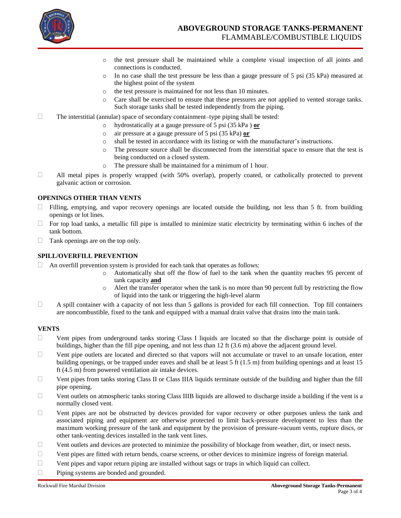

- o the test pressure shall be maintained while a complete visual inspection of all joints and connections is conducted.
- o In no case shall the test pressure be less than a gauge pressure of 5 psi (35 kPa) measured at the highest point of the system
- o the test pressure is maintained for not less than 10 minutes.
- o Care shall be exercised to ensure that these pressures are not applied to vented storage tanks. Such storage tanks shall be tested independently from the piping.
- $\Box$  The interstitial (annular) space of secondary containment–type piping shall be tested:
	- o hydrostatically at a gauge pressure of 5 psi (35 kPa ) **or** 
		- o air pressure at a gauge pressure of 5 psi (35 kPa) **or**
		- o shall be tested in accordance with its listing or with the manufacturer's instructions.
	- o The pressure source shall be disconnected from the interstitial space to ensure that the test is being conducted on a closed system.
	- o The pressure shall be maintained for a minimum of 1 hour.
- All metal pipes is properly wrapped (with 50% overlap), properly coated, or catholically protected to prevent galvanic action or corrosion.

#### **OPENINGS OTHER THAN VENTS**

- Filling, emptying, and vapor recovery openings are located outside the building, not less than 5 ft. from building openings or lot lines.
- $\Box$  For top load tanks, a metallic fill pipe is installed to minimize static electricity by terminating within 6 inches of the tank bottom.
- $\Box$  Tank openings are on the top only.

#### **SPILL/OVERFILL PREVENTION**

- $\Box$  An overfill prevention system is provided for each tank that operates as follows:
	- o Automatically shut off the flow of fuel to the tank when the quantity reaches 95 percent of tank capacity **and**
	- o Alert the transfer operator when the tank is no more than 90 percent full by restricting the flow of liquid into the tank or triggering the high-level alarm
- $\Box$  A spill container with a capacity of not less than 5 gallons is provided for each fill connection. Top fill containers are noncombustible, fixed to the tank and equipped with a manual drain valve that drains into the main tank.

#### **VENTS**

- $\Box$  Vent pipes from underground tanks storing Class I liquids are located so that the discharge point is outside of buildings, higher than the fill pipe opening, and not less than 12 ft (3.6 m) above the adjacent ground level.
- $\Box$  Vent pipe outlets are located and directed so that vapors will not accumulate or travel to an unsafe location, enter building openings, or be trapped under eaves and shall be at least 5 ft (1.5 m) from building openings and at least 15 ft (4.5 m) from powered ventilation air intake devices.
- $\Box$  Vent pipes from tanks storing Class II or Class IIIA liquids terminate outside of the building and higher than the fill pipe opening.
- $\Box$  Vent outlets on atmospheric tanks storing Class IIIB liquids are allowed to discharge inside a building if the vent is a normally closed vent.
- $\Box$  Vent pipes are not be obstructed by devices provided for vapor recovery or other purposes unless the tank and associated piping and equipment are otherwise protected to limit back-pressure development to less than the maximum working pressure of the tank and equipment by the provision of pressure-vacuum vents, rupture discs, or other tank-venting devices installed in the tank vent lines.
- $\Box$  Vent outlets and devices are protected to minimize the possibility of blockage from weather, dirt, or insect nests.
- $\Box$  Vent pipes are fitted with return bends, coarse screens, or other devices to minimize ingress of foreign material.
- $\Box$  Vent pipes and vapor return piping are installed without sags or traps in which liquid can collect.
- □ Piping systems are bonded and grounded.